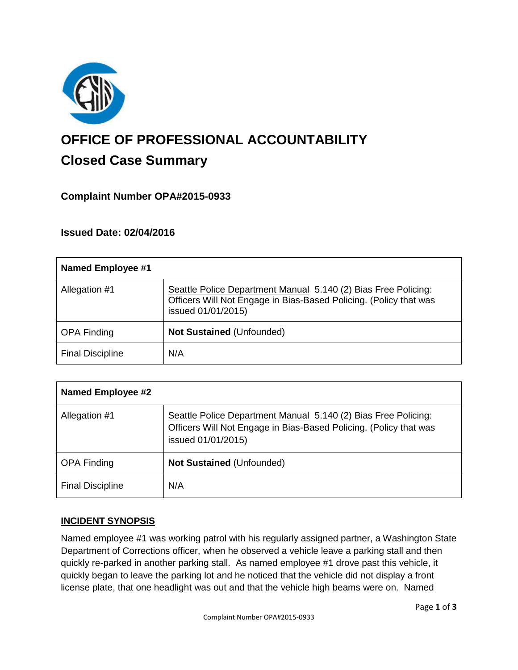

# **OFFICE OF PROFESSIONAL ACCOUNTABILITY Closed Case Summary**

# **Complaint Number OPA#2015-0933**

#### **Issued Date: 02/04/2016**

| <b>Named Employee #1</b> |                                                                                                                                                           |
|--------------------------|-----------------------------------------------------------------------------------------------------------------------------------------------------------|
| Allegation #1            | Seattle Police Department Manual 5.140 (2) Bias Free Policing:<br>Officers Will Not Engage in Bias-Based Policing. (Policy that was<br>issued 01/01/2015) |
| <b>OPA Finding</b>       | <b>Not Sustained (Unfounded)</b>                                                                                                                          |
| <b>Final Discipline</b>  | N/A                                                                                                                                                       |

| <b>Named Employee #2</b> |                                                                                                                                                           |
|--------------------------|-----------------------------------------------------------------------------------------------------------------------------------------------------------|
| Allegation #1            | Seattle Police Department Manual 5.140 (2) Bias Free Policing:<br>Officers Will Not Engage in Bias-Based Policing. (Policy that was<br>issued 01/01/2015) |
| <b>OPA Finding</b>       | <b>Not Sustained (Unfounded)</b>                                                                                                                          |
| <b>Final Discipline</b>  | N/A                                                                                                                                                       |

#### **INCIDENT SYNOPSIS**

Named employee #1 was working patrol with his regularly assigned partner, a Washington State Department of Corrections officer, when he observed a vehicle leave a parking stall and then quickly re-parked in another parking stall. As named employee #1 drove past this vehicle, it quickly began to leave the parking lot and he noticed that the vehicle did not display a front license plate, that one headlight was out and that the vehicle high beams were on. Named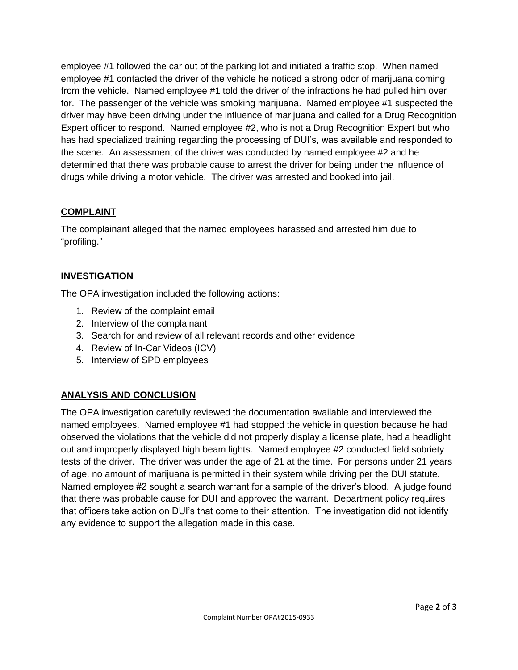employee #1 followed the car out of the parking lot and initiated a traffic stop. When named employee #1 contacted the driver of the vehicle he noticed a strong odor of marijuana coming from the vehicle. Named employee #1 told the driver of the infractions he had pulled him over for. The passenger of the vehicle was smoking marijuana. Named employee #1 suspected the driver may have been driving under the influence of marijuana and called for a Drug Recognition Expert officer to respond. Named employee #2, who is not a Drug Recognition Expert but who has had specialized training regarding the processing of DUI's, was available and responded to the scene. An assessment of the driver was conducted by named employee #2 and he determined that there was probable cause to arrest the driver for being under the influence of drugs while driving a motor vehicle. The driver was arrested and booked into jail.

#### **COMPLAINT**

The complainant alleged that the named employees harassed and arrested him due to "profiling."

## **INVESTIGATION**

The OPA investigation included the following actions:

- 1. Review of the complaint email
- 2. Interview of the complainant
- 3. Search for and review of all relevant records and other evidence
- 4. Review of In-Car Videos (ICV)
- 5. Interview of SPD employees

# **ANALYSIS AND CONCLUSION**

The OPA investigation carefully reviewed the documentation available and interviewed the named employees. Named employee #1 had stopped the vehicle in question because he had observed the violations that the vehicle did not properly display a license plate, had a headlight out and improperly displayed high beam lights. Named employee #2 conducted field sobriety tests of the driver. The driver was under the age of 21 at the time. For persons under 21 years of age, no amount of marijuana is permitted in their system while driving per the DUI statute. Named employee #2 sought a search warrant for a sample of the driver's blood. A judge found that there was probable cause for DUI and approved the warrant. Department policy requires that officers take action on DUI's that come to their attention. The investigation did not identify any evidence to support the allegation made in this case.